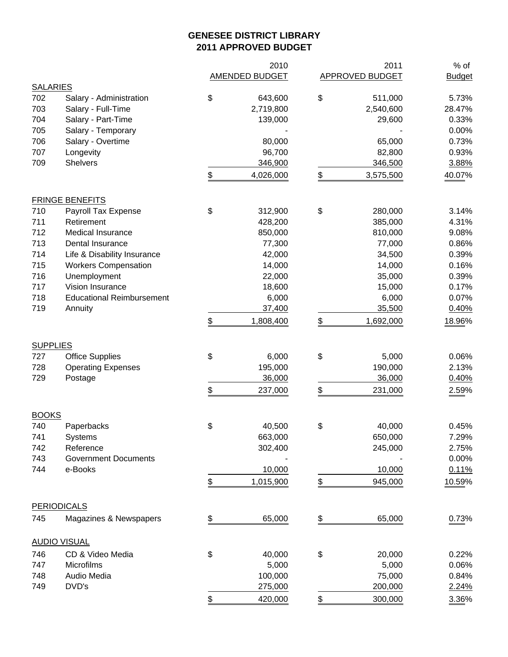## **GENESEE DISTRICT LIBRARY 2011 APPROVED BUDGET**

|                 |                                  |               | 2010           |               | 2011              | $%$ of        |
|-----------------|----------------------------------|---------------|----------------|---------------|-------------------|---------------|
|                 |                                  |               | AMENDED BUDGET |               | APPROVED BUDGET   | <b>Budget</b> |
| <b>SALARIES</b> |                                  |               |                |               |                   |               |
| 702             | Salary - Administration          | \$            | 643,600        | \$            | 511,000           | 5.73%         |
| 703             | Salary - Full-Time               |               | 2,719,800      |               | 2,540,600         | 28.47%        |
| 704             | Salary - Part-Time               |               | 139,000        |               | 29,600            | 0.33%         |
| 705             | Salary - Temporary               |               |                |               |                   | 0.00%         |
| 706             | Salary - Overtime                |               | 80,000         |               | 65,000            | 0.73%         |
| 707             | Longevity                        |               | 96,700         |               | 82,800            | 0.93%         |
| 709             | <b>Shelvers</b>                  |               | 346,900        |               | 346,500           | 3.88%         |
|                 |                                  | \$            | 4,026,000      | \$            | 3,575,500         | 40.07%        |
|                 | <b>FRINGE BENEFITS</b>           |               |                |               |                   |               |
| 710             | Payroll Tax Expense              | \$            | 312,900        | \$            | 280,000           | 3.14%         |
| 711             | Retirement                       |               | 428,200        |               | 385,000           | 4.31%         |
| 712             | Medical Insurance                |               | 850,000        |               | 810,000           | 9.08%         |
| 713             | Dental Insurance                 |               | 77,300         |               | 77,000            | 0.86%         |
| 714             | Life & Disability Insurance      |               | 42,000         |               | 34,500            | 0.39%         |
| 715             | <b>Workers Compensation</b>      |               | 14,000         |               | 14,000            | 0.16%         |
| 716             | Unemployment                     |               | 22,000         |               | 35,000            | 0.39%         |
| 717             | Vision Insurance                 |               | 18,600         |               | 15,000            | 0.17%         |
| 718             | <b>Educational Reimbursement</b> |               | 6,000          |               | 6,000             | 0.07%         |
| 719             | Annuity                          |               | 37,400         |               | 35,500            | 0.40%         |
|                 |                                  | \$            | 1,808,400      | \$            | 1,692,000         | 18.96%        |
| <b>SUPPLIES</b> |                                  |               |                |               |                   |               |
| 727             | <b>Office Supplies</b>           | \$            | 6,000          | \$            | 5,000             | 0.06%         |
| 728             | <b>Operating Expenses</b>        |               | 195,000        |               | 190,000           | 2.13%         |
| 729             | Postage                          |               | 36,000         |               | 36,000            | 0.40%         |
|                 |                                  | \$            | 237,000        | \$            | 231,000           | 2.59%         |
| <b>BOOKS</b>    |                                  |               |                |               |                   |               |
| 740             | Paperbacks                       | \$            | 40,500         | \$            | 40,000            | 0.45%         |
| 741             | Systems                          |               | 663,000        |               | 650,000           | 7.29%         |
| 742             | Reference                        |               | 302,400        |               | 245,000           | 2.75%         |
| 743             | <b>Government Documents</b>      |               |                |               |                   | 0.00%         |
| 744             | e-Books                          |               | 10,000         |               | 10,000            | 0.11%         |
|                 |                                  | $\frac{1}{2}$ | 1,015,900      | \$            | 945,000           | 10.59%        |
|                 | <b>PERIODICALS</b>               |               |                |               |                   |               |
| 745             | Magazines & Newspapers           | $\frac{1}{2}$ | 65,000         | $\frac{1}{2}$ | 65,000            | 0.73%         |
|                 |                                  |               |                |               |                   |               |
|                 | <b>AUDIO VISUAL</b>              |               |                |               |                   |               |
| 746             | CD & Video Media                 | \$            | 40,000         | \$            | 20,000            | 0.22%         |
| 747             | Microfilms                       |               | 5,000          |               | 5,000             | 0.06%         |
| 748<br>749      | Audio Media<br>DVD's             |               | 100,000        |               | 75,000<br>200,000 | 0.84%         |
|                 |                                  |               | 275,000        |               |                   | 2.24%         |
|                 |                                  | \$            | 420,000        |               | 300,000           | 3.36%         |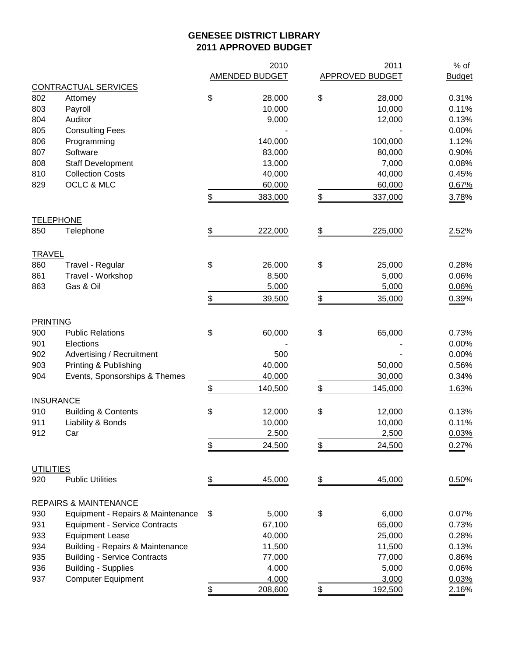## **GENESEE DISTRICT LIBRARY 2011 APPROVED BUDGET**

|                  |                                      |               | 2010                  | 2011            | $%$ of        |
|------------------|--------------------------------------|---------------|-----------------------|-----------------|---------------|
|                  |                                      |               | <b>AMENDED BUDGET</b> | APPROVED BUDGET | <b>Budget</b> |
|                  | <b>CONTRACTUAL SERVICES</b>          |               |                       |                 |               |
| 802              | Attorney                             | \$            | 28,000                | \$<br>28,000    | 0.31%         |
| 803              | Payroll                              |               | 10,000                | 10,000          | 0.11%         |
| 804              | Auditor                              |               | 9,000                 | 12,000          | 0.13%         |
| 805              | <b>Consulting Fees</b>               |               |                       |                 | 0.00%         |
| 806              | Programming                          |               | 140,000               | 100,000         | 1.12%         |
| 807              | Software                             |               | 83,000                | 80,000          | 0.90%         |
| 808              | <b>Staff Development</b>             |               | 13,000                | 7,000           | 0.08%         |
| 810              | <b>Collection Costs</b>              |               | 40,000                | 40,000          | 0.45%         |
| 829              | OCLC & MLC                           |               | 60,000                | 60,000          | 0.67%         |
|                  |                                      | \$            | 383,000               | \$<br>337,000   | 3.78%         |
|                  | <b>TELEPHONE</b>                     |               |                       |                 |               |
| 850              | Telephone                            | \$            | 222,000               | \$<br>225,000   | 2.52%         |
| <b>TRAVEL</b>    |                                      |               |                       |                 |               |
| 860              | Travel - Regular                     | \$            | 26,000                | \$<br>25,000    | 0.28%         |
| 861              | Travel - Workshop                    |               | 8,500                 | 5,000           | 0.06%         |
| 863              | Gas & Oil                            |               | 5,000                 | 5,000           | 0.06%         |
|                  |                                      | \$            | 39,500                | \$<br>35,000    | 0.39%         |
| <b>PRINTING</b>  |                                      |               |                       |                 |               |
| 900              | <b>Public Relations</b>              | \$            | 60,000                | \$<br>65,000    | 0.73%         |
| 901              | Elections                            |               |                       |                 | 0.00%         |
| 902              | Advertising / Recruitment            |               | 500                   |                 | 0.00%         |
| 903              | Printing & Publishing                |               | 40,000                | 50,000          | 0.56%         |
| 904              | Events, Sponsorships & Themes        |               | 40,000                | 30,000          | 0.34%         |
|                  |                                      | $\frac{1}{2}$ | 140,500               | \$<br>145,000   | 1.63%         |
|                  | <b>INSURANCE</b>                     |               |                       |                 |               |
| 910              | <b>Building &amp; Contents</b>       | \$            | 12,000                | \$<br>12,000    | 0.13%         |
| 911              | Liability & Bonds                    |               | 10,000                | 10,000          | 0.11%         |
| 912              | Car                                  |               | 2,500                 | 2,500           | 0.03%         |
|                  |                                      | \$            | 24,500                | \$<br>24,500    | 0.27%         |
| <b>UTILITIES</b> |                                      |               |                       |                 |               |
| 920              | <b>Public Utilities</b>              | \$            | 45,000                | \$<br>45,000    | 0.50%         |
|                  | <b>REPAIRS &amp; MAINTENANCE</b>     |               |                       |                 |               |
| 930              | Equipment - Repairs & Maintenance    | \$            | 5,000                 | \$<br>6,000     | 0.07%         |
| 931              | <b>Equipment - Service Contracts</b> |               | 67,100                | 65,000          | 0.73%         |
| 933              | <b>Equipment Lease</b>               |               | 40,000                | 25,000          | 0.28%         |
| 934              | Building - Repairs & Maintenance     |               | 11,500                | 11,500          | 0.13%         |
| 935              | <b>Building - Service Contracts</b>  |               | 77,000                | 77,000          | 0.86%         |
| 936              | <b>Building - Supplies</b>           |               | 4,000                 | 5,000           | 0.06%         |
| 937              | <b>Computer Equipment</b>            |               | 4,000                 | 3,000           | 0.03%         |
|                  |                                      | \$            | 208,600               | \$<br>192,500   | 2.16%         |